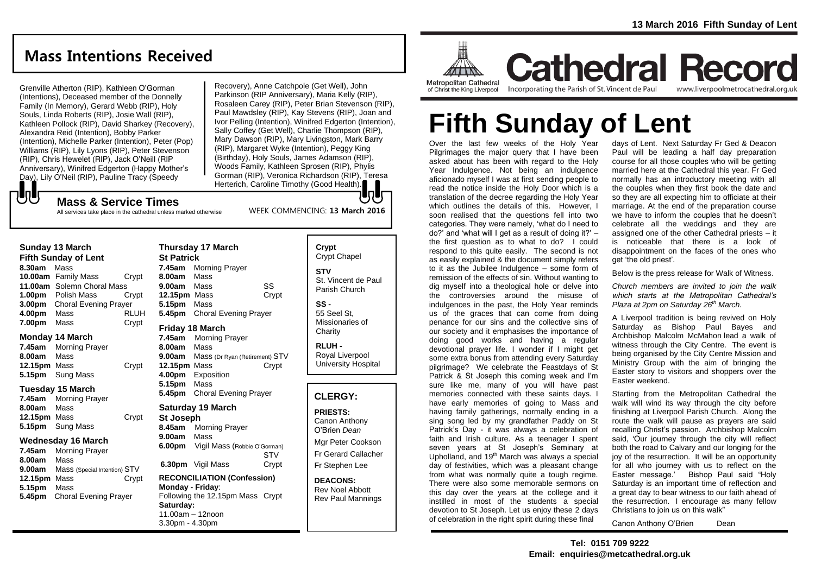# **Mass Intentions Received**

Grenville Atherton (RIP), Kathleen O'Gorman (Intentions), Deceased member of the Donnelly Family (In Memory), Gerard Webb (RIP), Holy Souls, Linda Roberts (RIP), Josie Wall (RIP), Kathleen Pollock (RIP), David Sharkey (Recovery), Alexandra Reid (Intention), Bobby Parker (Intention), Michelle Parker (Intention), Peter (Pop) Williams (RIP), Lily Lyons (RIP), Peter Stevenson (RIP), Chris Hewelet (RIP), Jack O'Neill (RIP Anniversary), Winifred Edgerton (Happy Mother's Day), Lily O'Neil (RIP), Pauline Tracy (Speedy

Recovery), Anne Catchpole (Get Well), John Parkinson (RIP Anniversary), Maria Kelly (RIP), Rosaleen Carey (RIP), Peter Brian Stevenson (RIP), Paul Mawdsley (RIP), Kay Stevens (RIP), Joan and Ivor Pelling (Intention), Winifred Edgerton (Intention), Sally Coffey (Get Well), Charlie Thompson (RIP), Mary Dawson (RIP), Mary Livingston, Mark Barry (RIP), Margaret Wyke (Intention), Peggy King (Birthday), Holy Souls, James Adamson (RIP), Woods Family, Kathleen Sprosen (RIP), Phylis Gorman (RIP), Veronica Richardson (RIP), Teresa Herterich, Caroline Timothy (Good Health).

WEEK COMMENCING: **13 March 2016**

#### **Mass & Service Times**

All services take place in the cathedral unless marked otherwise

#### **Sunday 13 March**

でし

**Fifth Sunday of Lent 8.30am** Mass **10.00am** Family Mass Crypt **11.00am** Solemn Choral Mass **1.00pm** Polish Mass Crypt **3.00pm** Choral Evening Prayer **4.00pm** Mass RLUH **7.00pm** Mass Crypt

#### **Monday 14 March**

**7.45am** Morning Prayer **8.00am** Mass **12.15pm** Mass Crypt **5.15pm** Sung Mass

#### **Tuesday 15 March**

**7.45am** Morning Prayer **8.00am** Mass **12.15pm** Mass Crypt **5.15pm** Sung Mass

#### **Wednesday 16 March**

**7.45am** Morning Prayer **8.00am** Mass **9.00am** Mass (Special Intention) STV **12.15pm** Mass Crypt **5.15pm** Mass **5.45pm** Choral Evening Prayer

#### **Thursday 17 March St Patrick 7.45am** Morning Prayer **8.00am** Mass **9.00am** Mass SS **12.15pm** Mass Crypt **5.15pm** Mass **5.45pm** Choral Evening Prayer **Friday 18 March 7.45am** Morning Prayer

**8.00am** Mass **9.00am** Mass (Dr Ryan (Retirement) STV **12.15pm** Mass Crypt **4.00pm** Exposition **5.15pm** Mass **5.45pm** Choral Evening Prayer

#### **Saturday 19 March**

**St Joseph 8.45am** Morning Prayer **9.00am** Mass **6.00pm** Vigil Mass (Robbie O'Gorman) STV **6.30pm** Vigil Mass Crypt

#### **RECONCILIATION (Confession) Monday - Friday**: Following the 12.15pm Mass Crypt **Saturday:** 11.00am – 12noon 3.30pm - 4.30pm

**Crypt**  Crypt Chapel **STV** St. Vincent de Paul Parish Church

**SS -** 55 Seel St, Missionaries of **Charity** 

**RLUH -** Royal Liverpool University Hospital

#### **CLERGY:**

#### **PRIESTS:**

Canon Anthony O'Brien *Dean*

Mgr Peter Cookson Fr Gerard Callacher Fr Stephen Lee

**DEACONS:** Rev Noel Abbott Rev Paul Mannings



**Cathedral Record** Incorporating the Parish of St. Vincent de Paul www.liverpoolmetrocathedral.org.uk

# **Fifth Sunday of Lent**

Over the last few weeks of the Holy Year Pilgrimages the major query that I have been asked about has been with regard to the Holy Year Indulgence. Not being an indulgence aficionado myself I was at first sending people to read the notice inside the Holy Door which is a translation of the decree regarding the Holy Year which outlines the details of this. However, I soon realised that the questions fell into two categories. They were namely, 'what do I need to do?' and 'what will I get as a result of doing it?' – the first question as to what to do? I could respond to this quite easily. The second is not as easily explained & the document simply refers to it as the Jubilee Indulgence – some form of remission of the effects of sin. Without wanting to dig myself into a theological hole or delve into the controversies around the misuse of indulgences in the past, the Holy Year reminds us of the graces that can come from doing penance for our sins and the collective sins of our society and it emphasises the importance of doing good works and having a regular devotional prayer life. I wonder if I might get some extra bonus from attending every Saturday pilgrimage? We celebrate the Feastdays of St Patrick & St Joseph this coming week and I'm sure like me, many of you will have past memories connected with these saints days. I have early memories of going to Mass and having family gatherings, normally ending in a sing song led by my grandfather Paddy on St Patrick's Day - it was always a celebration of faith and Irish culture. As a teenager I spent seven years at St Joseph's Seminary at Upholland, and 19<sup>th</sup> March was always a special day of festivities, which was a pleasant change from what was normally quite a tough regime. There were also some memorable sermons on this day over the years at the college and it instilled in most of the students a special devotion to St Joseph. Let us enjoy these 2 days of celebration in the right spirit during these final

days of Lent. Next Saturday Fr Ged & Deacon Paul will be leading a half day preparation course for all those couples who will be getting married here at the Cathedral this year. Fr Ged normally has an introductory meeting with all the couples when they first book the date and so they are all expecting him to officiate at their marriage. At the end of the preparation course we have to inform the couples that he doesn't celebrate all the weddings and they are assigned one of the other Cathedral priests – it is noticeable that there is a look of disappointment on the faces of the ones who get 'the old priest'.

Below is the press release for Walk of Witness.

*Church members are invited to join the walk which starts at the Metropolitan Cathedral's Plaza at 2pm on Saturday 26th March.* 

A Liverpool tradition is being revived on Holy Saturday as Bishop Paul Bayes and Archbishop Malcolm McMahon lead a walk of witness through the City Centre. The event is being organised by the City Centre Mission and Ministry Group with the aim of bringing the Easter story to visitors and shoppers over the Easter weekend.

Starting from the Metropolitan Cathedral the walk will wind its way through the city before finishing at Liverpool Parish Church. Along the route the walk will pause as prayers are said recalling Christ's passion. Archbishop Malcolm said, 'Our journey through the city will reflect both the road to Calvary and our longing for the joy of the resurrection. It will be an opportunity for all who journey with us to reflect on the Easter message.' Bishop Paul said "Holy Saturday is an important time of reflection and a great day to bear witness to our faith ahead of the resurrection. I encourage as many fellow Christians to join us on this walk"

Canon Anthony O'Brien Dean